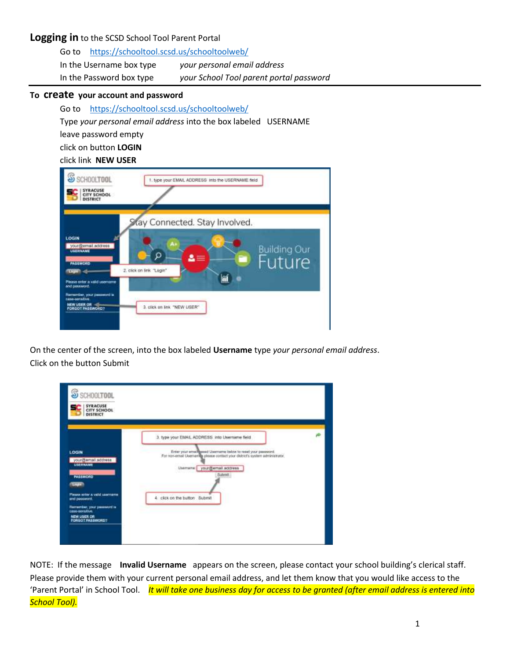# **Logging in** to the SCSD School Tool Parent Portal

| Go to https://schooltool.scsd.us/schooltoolweb/ |                                         |
|-------------------------------------------------|-----------------------------------------|
| In the Username box type                        | your personal email address             |
| In the Password box type                        | your School Tool parent portal password |

#### **To create your account and password**

Go to <https://schooltool.scsd.us/schooltoolweb/>

Type *your personal email address* into the box labeled USERNAME

leave password empty

click on button **LOGIN**

## click link **NEW USER**

| SS SCHOOLTOOL<br><b>SYRACUSE</b><br>CITY SCHOOL<br>DISTRICT                                                                          | 1. type your EMAIL ADDRESS into the USERNAME field                       |                               |
|--------------------------------------------------------------------------------------------------------------------------------------|--------------------------------------------------------------------------|-------------------------------|
| LOGIN<br>yourdbemail.address<br><b>LISERNAME</b><br><b>PASSWORD</b><br><b>COOM</b><br>Please enter a valid username<br>and passwort. | Kay Connected. Stay Involved.<br>Ω<br>≡<br>┳<br>2. click on link "Login" | <b>Building Our</b><br>Future |
| Remartber, your password is<br>tage-senative<br><b>NEW USER OR</b><br><b>PORGOT PASSWORD?</b>                                        | 3. click on link "NEW USER"                                              |                               |

On the center of the screen, into the box labeled **Username** type *your personal email address*. Click on the button Submit

| S SCHOOLTOOL<br><b>SYRACUSE</b><br>CITY SCHOOL<br><b>DISTRICT</b>                                                                                                                     |                                                                                                                                                                                                                                                                                |   |
|---------------------------------------------------------------------------------------------------------------------------------------------------------------------------------------|--------------------------------------------------------------------------------------------------------------------------------------------------------------------------------------------------------------------------------------------------------------------------------|---|
| LOGIN<br>youn@email.address<br><b>USERNAME</b><br><b>PASSWORD</b><br><b>Lings</b><br>Please arrier a valid username<br>and password.<br>Remonder, your password is<br>case-sensitivo. | 3. type your EMAIL ADDRESS, into Username field.<br>Errier your arrail@asset Usemame below to reset your password.<br>For non-ernal Usemaries please contact your district's system administrator.<br>Usemana: youndtemail.accress<br>Submit.<br>4. click on the button Submit | ÷ |

NOTE: If the message **Invalid Username** appears on the screen, please contact your school building's clerical staff. Please provide them with your current personal email address, and let them know that you would like access to the 'Parent Portal' in School Tool. *It will take one business day for access to be granted (after email address is entered into School Tool).*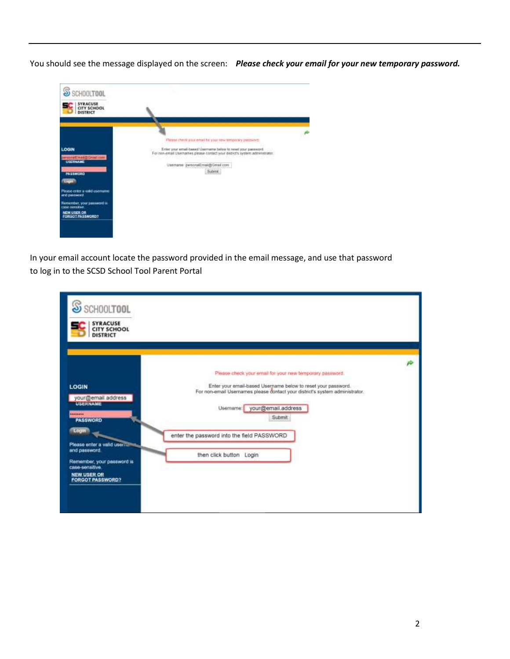You should see the message displayed on the screen: *Please check your email for your new temporary password.*



In your email account locate the password provided in the email message, and use that password to log in to the SCSD School Tool Parent Portal

| S SCHOOLTOOL<br><b>SYRACUSE</b><br><b>CITY SCHOOL</b><br><b>DISTRICT</b>                                                                                                                                                              |                                                                                                                                                                                                                                                                                                                                   |  |
|---------------------------------------------------------------------------------------------------------------------------------------------------------------------------------------------------------------------------------------|-----------------------------------------------------------------------------------------------------------------------------------------------------------------------------------------------------------------------------------------------------------------------------------------------------------------------------------|--|
| <b>LOGIN</b><br>your@email.address<br><b>USERNAME</b><br><br><b>PASSWORD</b><br>Login<br>Please enter a valid user<br>and password.<br>Remember, your password is<br>case-sensitive.<br><b>NEW USER OR</b><br><b>FORGOT PASSWORD?</b> | Please check your email for your new temporary password.<br>Enter your email-based Username below to reset your password<br>For non-email Usernames please contact your district's system administrator.<br>Usemame: your@email.address<br><b>Submit</b><br>enter the password into the field PASSWORD<br>then click button Login |  |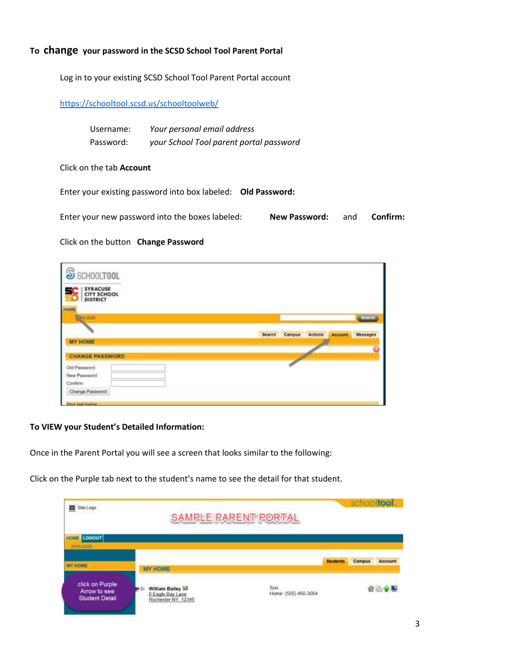## **To change your password in the SCSD School Tool Parent Portal**

Log in to your existing SCSD School Tool Parent Portal account

### <https://schooltool.scsd.us/schooltoolweb/>

| Username: | Your personal email address             |
|-----------|-----------------------------------------|
| Password: | your School Tool parent portal password |

#### Click on the tab **Account**

Enter your existing password into box labeled: **Old Password:**

| Enter your new password into the boxes labeled: | <b>New Password:</b> and | Confirm: |
|-------------------------------------------------|--------------------------|----------|
|                                                 |                          |          |

#### Click on the button **Change Password**

| S SCHOOLTOOL                                             |                                                                   |
|----------------------------------------------------------|-------------------------------------------------------------------|
| <b>SYRACUSE</b><br><b>CITY SCHOOL</b><br><b>DISTRICT</b> |                                                                   |
| HOME<br>50000                                            | Search                                                            |
| <b>MY HOME</b>                                           | Search<br><b>Actions</b><br>Messages<br>Campus.<br><b>Account</b> |
| <b>CHANGE PASSWORD</b>                                   |                                                                   |
| Old Password:                                            |                                                                   |
| New Password:<br>Confirm:                                |                                                                   |
| Change Password                                          |                                                                   |

### **To VIEW your Student's Detailed Information:**

Once in the Parent Portal you will see a screen that looks similar to the following:

Click on the Purple tab next to the student's name to see the detail for that student.

| Sne Logo<br>о                                            |                                                           | <b>SAMPLE PARENT PORTAL</b>                                 |                 | schooltool |         |
|----------------------------------------------------------|-----------------------------------------------------------|-------------------------------------------------------------|-----------------|------------|---------|
| LOGOUT<br><b>HOME</b><br>2019-2020                       |                                                           |                                                             |                 |            |         |
|                                                          | <b>MY HOME</b>                                            |                                                             | <b>Students</b> | Campus     | Account |
| click on Purple<br>Arrow to see<br><b>Student Detail</b> | William Bailey<br>6 Eagle Bay Lane<br>Rochester NY, 12345 | Son<br><b>CONTRACTOR</b> CONTRACTOR<br>Home: (555) 450-3054 |                 |            |         |